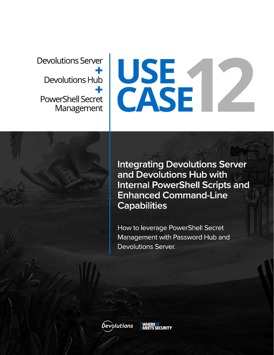**Devolutions Server** Devolutions Hub **PowerShell Secret** Management

# USE<br>CASE

**Integrating Devolutions Server** and Devolutions Hub with **Internal PowerShell Scripts and Enhanced Command-Line Capabilities** 

How to leverage PowerShell Secret Management with Password Hub and **Devolutions Server.** 

**Devolutions** 

**ECURITY**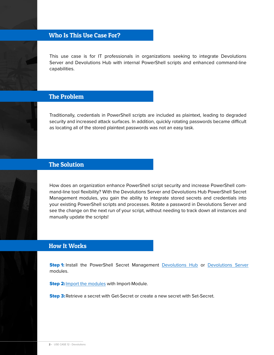# Who Is This Use Case For?

This use case is for IT professionals in organizations seeking to integrate Devolutions Server and Devolutions Hub with internal PowerShell scripts and enhanced command-line capabilities.

### The Problem

Traditionally, credentials in PowerShell scripts are included as plaintext, leading to degraded security and increased attack surfaces. In addition, quickly rotating passwords became difficult as locating all of the stored plaintext passwords was not an easy task.



## The Solution

How does an organization enhance PowerShell script security and increase PowerShell command-line tool flexibility? With the Devolutions Server and Devolutions Hub PowerShell Secret Management modules, you gain the ability to integrate stored secrets and credentials into your existing PowerShell scripts and processes. Rotate a password in Devolutions Server and see the change on the next run of your script, without needing to track down all instances and manually update the scripts!

### How It Works

**Step 1:** Install the PowerShell Secret Management [Devolutions Hub](https://github.com/devolutions/SecretManagement.DevolutionsHub) or [Devolutions Server](https://github.com/Devolutions/SecretManagement.DevolutionsServer) modules.

Step 2: [Import the modules](https://cdndevolutions.blob.core.windows.net/documents/how-to/how-to-leverage-powershell-secret-management-with-password-hub-and-devolutions-server.pdf) with Import-Module.

**Step 3:** Retrieve a secret with Get-Secret or create a new secret with Set-Secret.